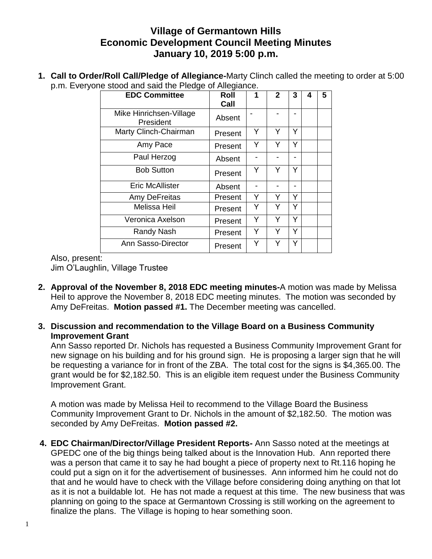## **Village of Germantown Hills Economic Development Council Meeting Minutes January 10, 2019 5:00 p.m.**

**1. Call to Order/Roll Call/Pledge of Allegiance-**Marty Clinch called the meeting to order at 5:00 p.m. Everyone stood and said the Pledge of Allegiance.

| <b>EDC Committee</b>                 | <b>Roll</b> | 1 | $\mathbf{2}$ | 3 | 4 | 5 |
|--------------------------------------|-------------|---|--------------|---|---|---|
|                                      | Call        |   |              |   |   |   |
| Mike Hinrichsen-Village<br>President | Absent      |   |              |   |   |   |
| Marty Clinch-Chairman                | Present     | Y | Y            | Y |   |   |
| Amy Pace                             | Present     | Y | Y            | Y |   |   |
| Paul Herzog                          | Absent      |   |              |   |   |   |
| <b>Bob Sutton</b>                    | Present     | Y | Y            | Y |   |   |
| <b>Eric McAllister</b>               | Absent      |   |              |   |   |   |
| Amy DeFreitas                        | Present     | Υ | Y            | ٧ |   |   |
| <b>Melissa Heil</b>                  | Present     | Υ | Y            | Y |   |   |
| Veronica Axelson                     | Present     | Y | Y            | Y |   |   |
| Randy Nash                           | Present     | Y | Y            | Y |   |   |
| Ann Sasso-Director                   | Present     | Y | Y            | Y |   |   |

Also, present:

Jim O'Laughlin, Village Trustee

- **2. Approval of the November 8, 2018 EDC meeting minutes-**A motion was made by Melissa Heil to approve the November 8, 2018 EDC meeting minutes. The motion was seconded by Amy DeFreitas. **Motion passed #1.** The December meeting was cancelled.
- **3. Discussion and recommendation to the Village Board on a Business Community Improvement Grant**

Ann Sasso reported Dr. Nichols has requested a Business Community Improvement Grant for new signage on his building and for his ground sign. He is proposing a larger sign that he will be requesting a variance for in front of the ZBA. The total cost for the signs is \$4,365.00. The grant would be for \$2,182.50. This is an eligible item request under the Business Community Improvement Grant.

A motion was made by Melissa Heil to recommend to the Village Board the Business Community Improvement Grant to Dr. Nichols in the amount of \$2,182.50. The motion was seconded by Amy DeFreitas. **Motion passed #2.**

**4. EDC Chairman/Director/Village President Reports-** Ann Sasso noted at the meetings at GPEDC one of the big things being talked about is the Innovation Hub. Ann reported there was a person that came it to say he had bought a piece of property next to Rt.116 hoping he could put a sign on it for the advertisement of businesses. Ann informed him he could not do that and he would have to check with the Village before considering doing anything on that lot as it is not a buildable lot. He has not made a request at this time. The new business that was planning on going to the space at Germantown Crossing is still working on the agreement to finalize the plans. The Village is hoping to hear something soon.